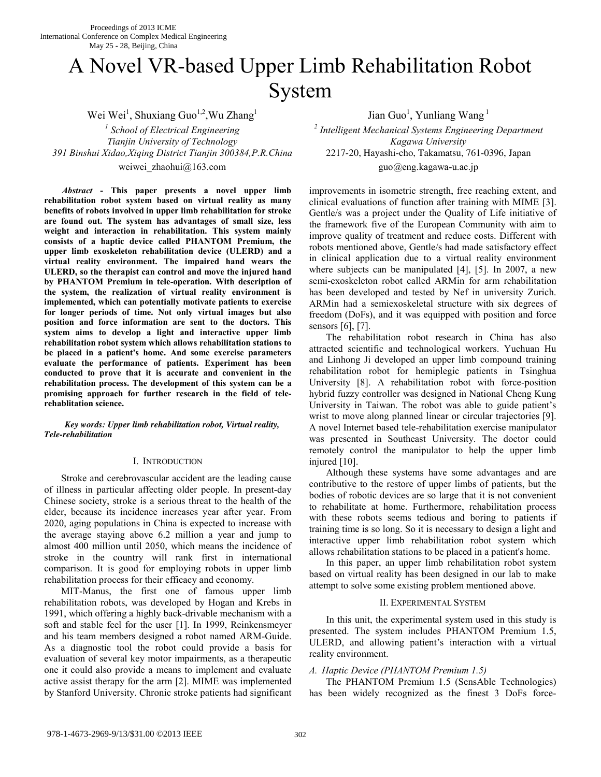# A Novel VR-based Upper Limb Rehabilitation Robot System

Wei Wei<sup>1</sup>, Shuxiang Guo<sup>1,2</sup>, Wu Zhang<sup>1</sup> *1 School of Electrical Engineering <sup>2</sup> Tianjin University of Technology Kagawa University 391 Binshui Xidao,Xiqing District Tianjin 300384,P.R.China* 2217-20, Hayashi-cho, Takamatsu, 761-0396, Japan

*Abstract* **- This paper presents a novel upper limb rehabilitation robot system based on virtual reality as many benefits of robots involved in upper limb rehabilitation for stroke are found out. The system has advantages of small size, less weight and interaction in rehabilitation. This system mainly consists of a haptic device called PHANTOM Premium, the upper limb exoskeleton rehabilitation device (ULERD) and a virtual reality environment. The impaired hand wears the ULERD, so the therapist can control and move the injured hand by PHANTOM Premium in tele-operation. With description of the system, the realization of virtual reality environment is implemented, which can potentially motivate patients to exercise for longer periods of time. Not only virtual images but also position and force information are sent to the doctors. This system aims to develop a light and interactive upper limb rehabilitation robot system which allows rehabilitation stations to be placed in a patient's home. And some exercise parameters evaluate the performance of patients. Experiment has been conducted to prove that it is accurate and convenient in the rehabilitation process. The development of this system can be a promising approach for further research in the field of telerehablitation science.** 

*Key words: Upper limb rehabilitation robot, Virtual reality, Tele-rehabilitation* 

## I. INTRODUCTION

Stroke and cerebrovascular accident are the leading cause of illness in particular affecting older people. In present-day Chinese society, stroke is a serious threat to the health of the elder, because its incidence increases year after year. From 2020, aging populations in China is expected to increase with the average staying above 6.2 million a year and jump to almost 400 million until 2050, which means the incidence of stroke in the country will rank first in international comparison. It is good for employing robots in upper limb rehabilitation process for their efficacy and economy.

MIT-Manus, the first one of famous upper limb rehabilitation robots, was developed by Hogan and Krebs in 1991, which offering a highly back-drivable mechanism with a soft and stable feel for the user [1]. In 1999, Reinkensmeyer and his team members designed a robot named ARM-Guide. As a diagnostic tool the robot could provide a basis for evaluation of several key motor impairments, as a therapeutic one it could also provide a means to implement and evaluate active assist therapy for the arm [2]. MIME was implemented by Stanford University. Chronic stroke patients had significant

Jian Guo<sup>1</sup>, Yunliang Wang<sup>1</sup>

 *Intelligent Mechanical Systems Engineering Department*  weiwei zhaohui@163.com guo@eng.kagawa-u.ac.jp

> improvements in isometric strength, free reaching extent, and clinical evaluations of function after training with MIME [3]. Gentle/s was a project under the Quality of Life initiative of the framework five of the European Community with aim to improve quality of treatment and reduce costs. Different with robots mentioned above, Gentle/s had made satisfactory effect in clinical application due to a virtual reality environment where subjects can be manipulated [4], [5]. In 2007, a new semi-exoskeleton robot called ARMin for arm rehabilitation has been developed and tested by Nef in university Zurich. ARMin had a semiexoskeletal structure with six degrees of freedom (DoFs), and it was equipped with position and force sensors [6], [7].

> The rehabilitation robot research in China has also attracted scientific and technological workers. Yuchuan Hu and Linhong Ji developed an upper limb compound training rehabilitation robot for hemiplegic patients in Tsinghua University [8]. A rehabilitation robot with force-position hybrid fuzzy controller was designed in National Cheng Kung University in Taiwan. The robot was able to guide patient's wrist to move along planned linear or circular trajectories [9]. A novel Internet based tele-rehabilitation exercise manipulator was presented in Southeast University. The doctor could remotely control the manipulator to help the upper limb injured [10].

> Although these systems have some advantages and are contributive to the restore of upper limbs of patients, but the bodies of robotic devices are so large that it is not convenient to rehabilitate at home. Furthermore, rehabilitation process with these robots seems tedious and boring to patients if training time is so long. So it is necessary to design a light and interactive upper limb rehabilitation robot system which allows rehabilitation stations to be placed in a patient's home.

> In this paper, an upper limb rehabilitation robot system based on virtual reality has been designed in our lab to make attempt to solve some existing problem mentioned above.

## II. EXPERIMENTAL SYSTEM

In this unit, the experimental system used in this study is presented. The system includes PHANTOM Premium 1.5, ULERD, and allowing patient's interaction with a virtual reality environment.

## *A. Haptic Device (PHANTOM Premium 1.5)*

The PHANTOM Premium 1.5 (SensAble Technologies) has been widely recognized as the finest 3 DoFs force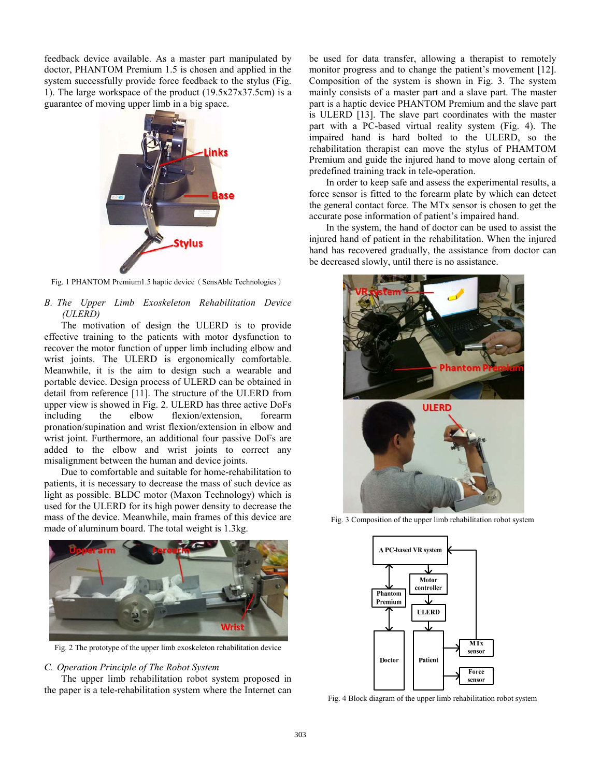feedback device available. As a master part manipulated by doctor, PHANTOM Premium 1.5 is chosen and applied in the system successfully provide force feedback to the stylus (Fig. 1). The large workspace of the product  $(19.5x27x37.5cm)$  is a guarantee of moving upper limb in a big space.



Fig. 1 PHANTOM Premium1.5 haptic device (SensAble Technologies)

# *B. The Upper Limb Exoskeleton Rehabilitation Device (ULERD)*

The motivation of design the ULERD is to provide effective training to the patients with motor dysfunction to recover the motor function of upper limb including elbow and wrist joints. The ULERD is ergonomically comfortable. Meanwhile, it is the aim to design such a wearable and portable device. Design process of ULERD can be obtained in detail from reference [11]. The structure of the ULERD from upper view is showed in Fig. 2. ULERD has three active DoFs including the elbow flexion/extension, forearm pronation/supination and wrist flexion/extension in elbow and wrist joint. Furthermore, an additional four passive DoFs are added to the elbow and wrist joints to correct any misalignment between the human and device joints.

Due to comfortable and suitable for home-rehabilitation to patients, it is necessary to decrease the mass of such device as light as possible. BLDC motor (Maxon Technology) which is used for the ULERD for its high power density to decrease the mass of the device. Meanwhile, main frames of this device are made of aluminum board. The total weight is 1.3kg.



Fig. 2 The prototype of the upper limb exoskeleton rehabilitation device

#### *C. Operation Principle of The Robot System*

The upper limb rehabilitation robot system proposed in the paper is a tele-rehabilitation system where the Internet can be used for data transfer, allowing a therapist to remotely monitor progress and to change the patient's movement [12]. Composition of the system is shown in Fig. 3. The system mainly consists of a master part and a slave part. The master part is a haptic device PHANTOM Premium and the slave part is ULERD [13]. The slave part coordinates with the master part with a PC-based virtual reality system (Fig. 4). The impaired hand is hard bolted to the ULERD, so the rehabilitation therapist can move the stylus of PHAMTOM Premium and guide the injured hand to move along certain of predefined training track in tele-operation.

In order to keep safe and assess the experimental results, a force sensor is fitted to the forearm plate by which can detect the general contact force. The MTx sensor is chosen to get the accurate pose information of patient's impaired hand.

In the system, the hand of doctor can be used to assist the injured hand of patient in the rehabilitation. When the injured hand has recovered gradually, the assistance from doctor can be decreased slowly, until there is no assistance.



Fig. 3 Composition of the upper limb rehabilitation robot system



Fig. 4 Block diagram of the upper limb rehabilitation robot system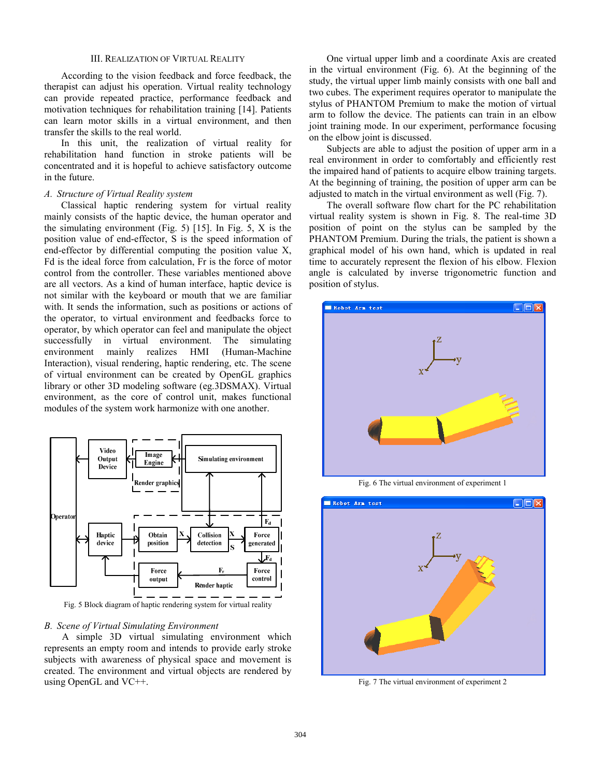#### III. REALIZATION OF VIRTUAL REALITY

According to the vision feedback and force feedback, the therapist can adjust his operation. Virtual reality technology can provide repeated practice, performance feedback and motivation techniques for rehabilitation training [14]. Patients can learn motor skills in a virtual environment, and then transfer the skills to the real world.

In this unit, the realization of virtual reality for rehabilitation hand function in stroke patients will be concentrated and it is hopeful to achieve satisfactory outcome in the future.

## *A. Structure of Virtual Reality system*

Classical haptic rendering system for virtual reality mainly consists of the haptic device, the human operator and the simulating environment (Fig. 5) [15]. In Fig. 5, X is the position value of end-effector, S is the speed information of end-effector by differential computing the position value X, Fd is the ideal force from calculation, Fr is the force of motor control from the controller. These variables mentioned above are all vectors. As a kind of human interface, haptic device is not similar with the keyboard or mouth that we are familiar with. It sends the information, such as positions or actions of the operator, to virtual environment and feedbacks force to operator, by which operator can feel and manipulate the object successfully in virtual environment. The simulating environment mainly realizes HMI (Human-Machine Interaction), visual rendering, haptic rendering, etc. The scene of virtual environment can be created by OpenGL graphics library or other 3D modeling software (eg.3DSMAX). Virtual environment, as the core of control unit, makes functional modules of the system work harmonize with one another.



Fig. 5 Block diagram of haptic rendering system for virtual reality

## *B. Scene of Virtual Simulating Environment*

 A simple 3D virtual simulating environment which represents an empty room and intends to provide early stroke subjects with awareness of physical space and movement is created. The environment and virtual objects are rendered by using OpenGL and VC++.

 One virtual upper limb and a coordinate Axis are created in the virtual environment (Fig. 6). At the beginning of the study, the virtual upper limb mainly consists with one ball and two cubes. The experiment requires operator to manipulate the stylus of PHANTOM Premium to make the motion of virtual arm to follow the device. The patients can train in an elbow joint training mode. In our experiment, performance focusing on the elbow joint is discussed.

 Subjects are able to adjust the position of upper arm in a real environment in order to comfortably and efficiently rest the impaired hand of patients to acquire elbow training targets. At the beginning of training, the position of upper arm can be adjusted to match in the virtual environment as well (Fig. 7).

 The overall software flow chart for the PC rehabilitation virtual reality system is shown in Fig. 8. The real-time 3D position of point on the stylus can be sampled by the PHANTOM Premium. During the trials, the patient is shown a graphical model of his own hand, which is updated in real time to accurately represent the flexion of his elbow. Flexion angle is calculated by inverse trigonometric function and position of stylus.



Fig. 6 The virtual environment of experiment 1



Fig. 7 The virtual environment of experiment 2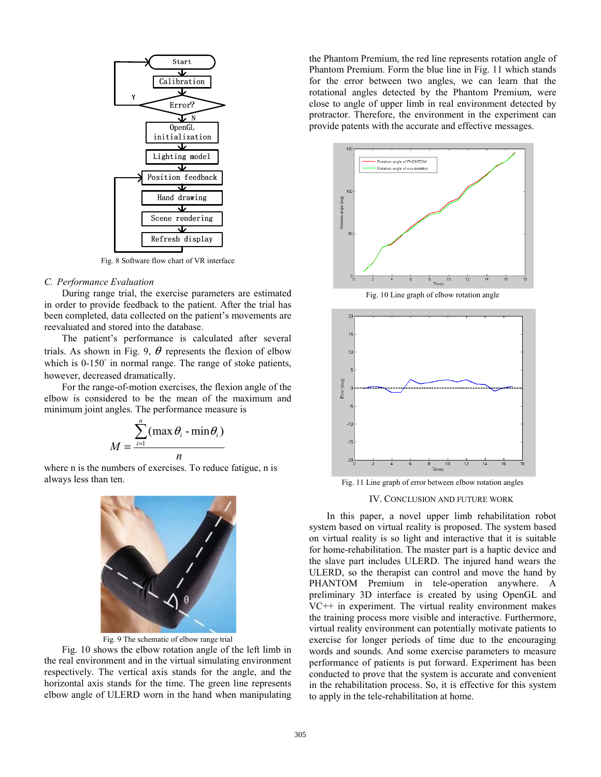

Fig. 8 Software flow chart of VR interface

#### *C. Performance Evaluation*

 During range trial, the exercise parameters are estimated in order to provide feedback to the patient. After the trial has been completed, data collected on the patient's movements are reevaluated and stored into the database.

 The patient's performance is calculated after several trials. As shown in Fig. 9,  $\theta$  represents the flexion of elbow which is 0-150° in normal range. The range of stoke patients, however, decreased dramatically.

 For the range-of-motion exercises, the flexion angle of the elbow is considered to be the mean of the maximum and minimum joint angles. The performance measure is

$$
M = \frac{\sum_{i=1}^{n} (\max \theta_i - \min \theta_i)}{n}
$$

where n is the numbers of exercises. To reduce fatigue, n is always less than ten.



Fig. 9 The schematic of elbow range trial

 Fig. 10 shows the elbow rotation angle of the left limb in the real environment and in the virtual simulating environment respectively. The vertical axis stands for the angle, and the horizontal axis stands for the time. The green line represents elbow angle of ULERD worn in the hand when manipulating the Phantom Premium, the red line represents rotation angle of Phantom Premium. Form the blue line in Fig. 11 which stands for the error between two angles, we can learn that the rotational angles detected by the Phantom Premium, were close to angle of upper limb in real environment detected by protractor. Therefore, the environment in the experiment can provide patents with the accurate and effective messages.



Fig. 10 Line graph of elbow rotation angle



Fig. 11 Line graph of error between elbow rotation angles

IV. CONCLUSION AND FUTURE WORK

 In this paper, a novel upper limb rehabilitation robot system based on virtual reality is proposed. The system based on virtual reality is so light and interactive that it is suitable for home-rehabilitation. The master part is a haptic device and the slave part includes ULERD. The injured hand wears the ULERD, so the therapist can control and move the hand by PHANTOM Premium in tele-operation anywhere. A preliminary 3D interface is created by using OpenGL and VC++ in experiment. The virtual reality environment makes the training process more visible and interactive. Furthermore, virtual reality environment can potentially motivate patients to exercise for longer periods of time due to the encouraging words and sounds. And some exercise parameters to measure performance of patients is put forward. Experiment has been conducted to prove that the system is accurate and convenient in the rehabilitation process. So, it is effective for this system to apply in the tele-rehabilitation at home.